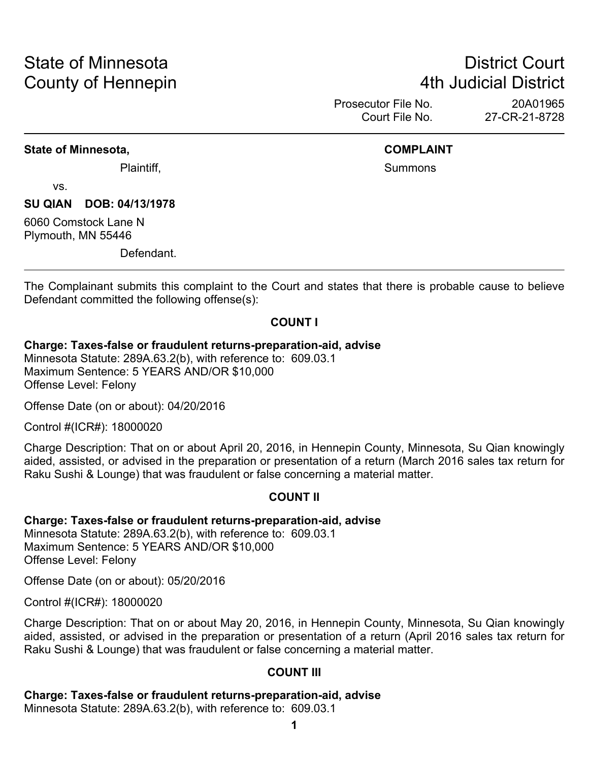# State of Minnesota **District Court County of Hennepin 1988** County of Hennepin **1988** County of Hennepin **1988**

Prosecutor File No. 20A01965 Court File No. 27-CR-21-8728

#### **State of Minnesota, COMPLAINT**

Plaintiff, **Summons Plaintiff**,

vs.

**SU QIAN DOB: 04/13/1978**

6060 Comstock Lane N Plymouth, MN 55446

Defendant.

The Complainant submits this complaint to the Court and states that there is probable cause to believe Defendant committed the following offense(s):

#### **COUNT I**

#### **Charge: Taxes-false or fraudulent returns-preparation-aid, advise**

Minnesota Statute: 289A.63.2(b), with reference to: 609.03.1 Maximum Sentence: 5 YEARS AND/OR \$10,000 Offense Level: Felony

Offense Date (on or about): 04/20/2016

Control #(ICR#): 18000020

Charge Description: That on or about April 20, 2016, in Hennepin County, Minnesota, Su Qian knowingly aided, assisted, or advised in the preparation or presentation of a return (March 2016 sales tax return for Raku Sushi & Lounge) that was fraudulent or false concerning a material matter.

#### **COUNT II**

#### **Charge: Taxes-false or fraudulent returns-preparation-aid, advise**

Minnesota Statute: 289A.63.2(b), with reference to: 609.03.1 Maximum Sentence: 5 YEARS AND/OR \$10,000 Offense Level: Felony

Offense Date (on or about): 05/20/2016

Control #(ICR#): 18000020

Charge Description: That on or about May 20, 2016, in Hennepin County, Minnesota, Su Qian knowingly aided, assisted, or advised in the preparation or presentation of a return (April 2016 sales tax return for Raku Sushi & Lounge) that was fraudulent or false concerning a material matter.

#### **COUNT III**

**Charge: Taxes-false or fraudulent returns-preparation-aid, advise**

Minnesota Statute: 289A.63.2(b), with reference to: 609.03.1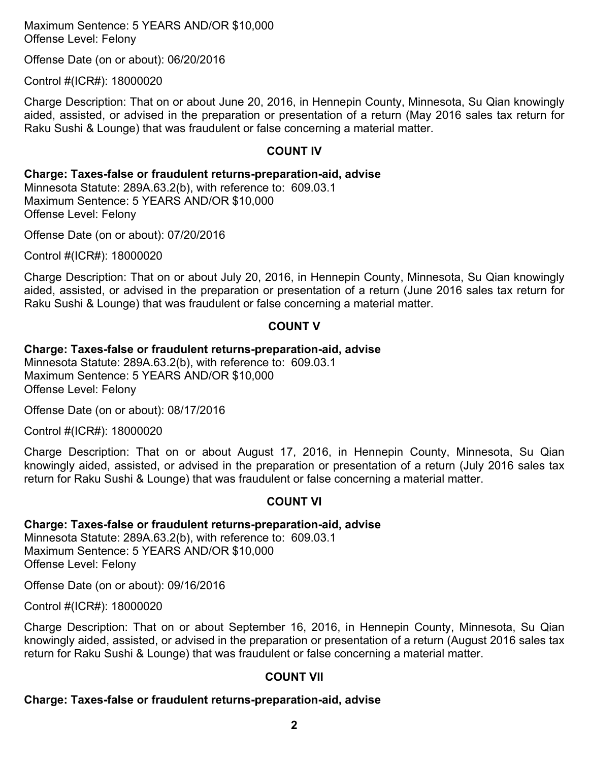Maximum Sentence: 5 YEARS AND/OR \$10,000 Offense Level: Felony

Offense Date (on or about): 06/20/2016

Control #(ICR#): 18000020

Charge Description: That on or about June 20, 2016, in Hennepin County, Minnesota, Su Qian knowingly aided, assisted, or advised in the preparation or presentation of a return (May 2016 sales tax return for Raku Sushi & Lounge) that was fraudulent or false concerning a material matter.

#### **COUNT IV**

**Charge: Taxes-false or fraudulent returns-preparation-aid, advise**

Minnesota Statute: 289A.63.2(b), with reference to: 609.03.1 Maximum Sentence: 5 YEARS AND/OR \$10,000 Offense Level: Felony

Offense Date (on or about): 07/20/2016

Control #(ICR#): 18000020

Charge Description: That on or about July 20, 2016, in Hennepin County, Minnesota, Su Qian knowingly aided, assisted, or advised in the preparation or presentation of a return (June 2016 sales tax return for Raku Sushi & Lounge) that was fraudulent or false concerning a material matter.

#### **COUNT V**

#### **Charge: Taxes-false or fraudulent returns-preparation-aid, advise**

Minnesota Statute: 289A.63.2(b), with reference to: 609.03.1 Maximum Sentence: 5 YEARS AND/OR \$10,000 Offense Level: Felony

Offense Date (on or about): 08/17/2016

Control #(ICR#): 18000020

Charge Description: That on or about August 17, 2016, in Hennepin County, Minnesota, Su Qian knowingly aided, assisted, or advised in the preparation or presentation of a return (July 2016 sales tax return for Raku Sushi & Lounge) that was fraudulent or false concerning a material matter.

#### **COUNT VI**

#### **Charge: Taxes-false or fraudulent returns-preparation-aid, advise**

Minnesota Statute: 289A.63.2(b), with reference to: 609.03.1 Maximum Sentence: 5 YEARS AND/OR \$10,000 Offense Level: Felony

Offense Date (on or about): 09/16/2016

Control #(ICR#): 18000020

Charge Description: That on or about September 16, 2016, in Hennepin County, Minnesota, Su Qian knowingly aided, assisted, or advised in the preparation or presentation of a return (August 2016 sales tax return for Raku Sushi & Lounge) that was fraudulent or false concerning a material matter.

#### **COUNT VII**

#### **Charge: Taxes-false or fraudulent returns-preparation-aid, advise**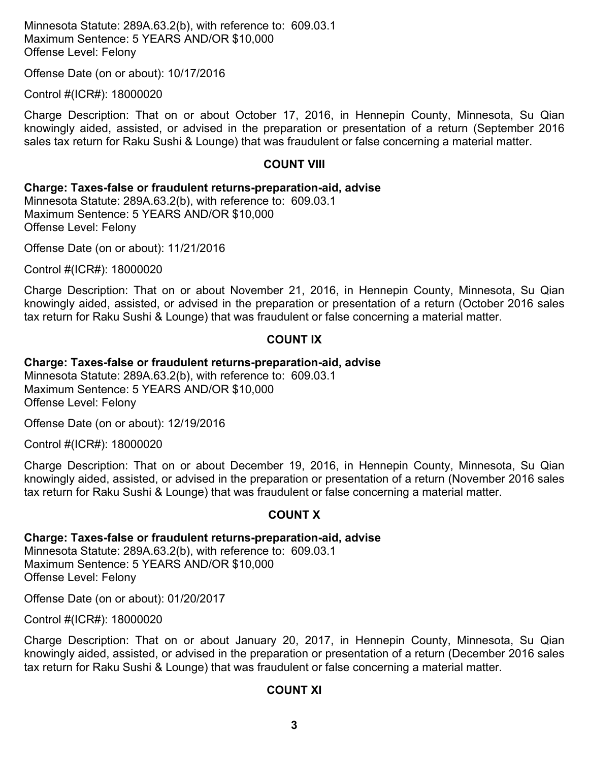Minnesota Statute: 289A.63.2(b), with reference to: 609.03.1 Maximum Sentence: 5 YEARS AND/OR \$10,000 Offense Level: Felony

Offense Date (on or about): 10/17/2016

Control #(ICR#): 18000020

Charge Description: That on or about October 17, 2016, in Hennepin County, Minnesota, Su Qian knowingly aided, assisted, or advised in the preparation or presentation of a return (September 2016 sales tax return for Raku Sushi & Lounge) that was fraudulent or false concerning a material matter.

#### **COUNT VIII**

#### **Charge: Taxes-false or fraudulent returns-preparation-aid, advise**

Minnesota Statute: 289A.63.2(b), with reference to: 609.03.1 Maximum Sentence: 5 YEARS AND/OR \$10,000 Offense Level: Felony

Offense Date (on or about): 11/21/2016

Control #(ICR#): 18000020

Charge Description: That on or about November 21, 2016, in Hennepin County, Minnesota, Su Qian knowingly aided, assisted, or advised in the preparation or presentation of a return (October 2016 sales tax return for Raku Sushi & Lounge) that was fraudulent or false concerning a material matter.

#### **COUNT IX**

#### **Charge: Taxes-false or fraudulent returns-preparation-aid, advise**

Minnesota Statute: 289A.63.2(b), with reference to: 609.03.1 Maximum Sentence: 5 YEARS AND/OR \$10,000 Offense Level: Felony

Offense Date (on or about): 12/19/2016

Control #(ICR#): 18000020

Charge Description: That on or about December 19, 2016, in Hennepin County, Minnesota, Su Qian knowingly aided, assisted, or advised in the preparation or presentation of a return (November 2016 sales tax return for Raku Sushi & Lounge) that was fraudulent or false concerning a material matter.

#### **COUNT X**

#### **Charge: Taxes-false or fraudulent returns-preparation-aid, advise**

Minnesota Statute: 289A.63.2(b), with reference to: 609.03.1 Maximum Sentence: 5 YEARS AND/OR \$10,000 Offense Level: Felony

Offense Date (on or about): 01/20/2017

Control #(ICR#): 18000020

Charge Description: That on or about January 20, 2017, in Hennepin County, Minnesota, Su Qian knowingly aided, assisted, or advised in the preparation or presentation of a return (December 2016 sales tax return for Raku Sushi & Lounge) that was fraudulent or false concerning a material matter.

#### **COUNT XI**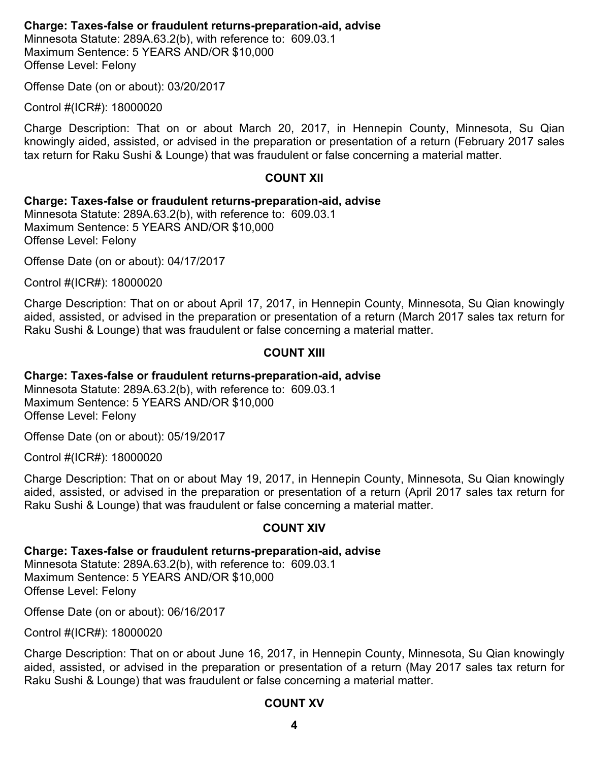#### **Charge: Taxes-false or fraudulent returns-preparation-aid, advise**

Minnesota Statute: 289A.63.2(b), with reference to: 609.03.1 Maximum Sentence: 5 YEARS AND/OR \$10,000 Offense Level: Felony

Offense Date (on or about): 03/20/2017

Control #(ICR#): 18000020

Charge Description: That on or about March 20, 2017, in Hennepin County, Minnesota, Su Qian knowingly aided, assisted, or advised in the preparation or presentation of a return (February 2017 sales tax return for Raku Sushi & Lounge) that was fraudulent or false concerning a material matter.

#### **COUNT XII**

#### **Charge: Taxes-false or fraudulent returns-preparation-aid, advise**

Minnesota Statute: 289A.63.2(b), with reference to: 609.03.1 Maximum Sentence: 5 YEARS AND/OR \$10,000 Offense Level: Felony

Offense Date (on or about): 04/17/2017

Control #(ICR#): 18000020

Charge Description: That on or about April 17, 2017, in Hennepin County, Minnesota, Su Qian knowingly aided, assisted, or advised in the preparation or presentation of a return (March 2017 sales tax return for Raku Sushi & Lounge) that was fraudulent or false concerning a material matter.

#### **COUNT XIII**

#### **Charge: Taxes-false or fraudulent returns-preparation-aid, advise**

Minnesota Statute: 289A.63.2(b), with reference to: 609.03.1 Maximum Sentence: 5 YEARS AND/OR \$10,000 Offense Level: Felony

Offense Date (on or about): 05/19/2017

Control #(ICR#): 18000020

Charge Description: That on or about May 19, 2017, in Hennepin County, Minnesota, Su Qian knowingly aided, assisted, or advised in the preparation or presentation of a return (April 2017 sales tax return for Raku Sushi & Lounge) that was fraudulent or false concerning a material matter.

#### **COUNT XIV**

#### **Charge: Taxes-false or fraudulent returns-preparation-aid, advise**

Minnesota Statute: 289A.63.2(b), with reference to: 609.03.1 Maximum Sentence: 5 YEARS AND/OR \$10,000 Offense Level: Felony

Offense Date (on or about): 06/16/2017

Control #(ICR#): 18000020

Charge Description: That on or about June 16, 2017, in Hennepin County, Minnesota, Su Qian knowingly aided, assisted, or advised in the preparation or presentation of a return (May 2017 sales tax return for Raku Sushi & Lounge) that was fraudulent or false concerning a material matter.

#### **COUNT XV**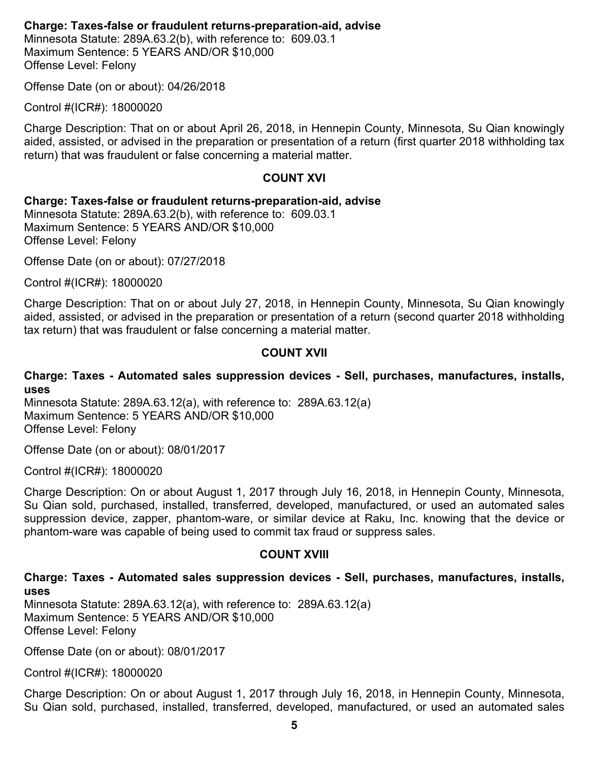#### **Charge: Taxes-false or fraudulent returns-preparation-aid, advise**

Minnesota Statute: 289A.63.2(b), with reference to: 609.03.1 Maximum Sentence: 5 YEARS AND/OR \$10,000 Offense Level: Felony

Offense Date (on or about): 04/26/2018

Control #(ICR#): 18000020

Charge Description: That on or about April 26, 2018, in Hennepin County, Minnesota, Su Qian knowingly aided, assisted, or advised in the preparation or presentation of a return (first quarter 2018 withholding tax return) that was fraudulent or false concerning a material matter.

#### **COUNT XVI**

#### **Charge: Taxes-false or fraudulent returns-preparation-aid, advise**

Minnesota Statute: 289A.63.2(b), with reference to: 609.03.1 Maximum Sentence: 5 YEARS AND/OR \$10,000 Offense Level: Felony

Offense Date (on or about): 07/27/2018

Control #(ICR#): 18000020

Charge Description: That on or about July 27, 2018, in Hennepin County, Minnesota, Su Qian knowingly aided, assisted, or advised in the preparation or presentation of a return (second quarter 2018 withholding tax return) that was fraudulent or false concerning a material matter.

#### **COUNT XVII**

#### **Charge: Taxes - Automated sales suppression devices - Sell, purchases, manufactures, installs, uses**

Minnesota Statute: 289A.63.12(a), with reference to: 289A.63.12(a) Maximum Sentence: 5 YEARS AND/OR \$10,000 Offense Level: Felony

Offense Date (on or about): 08/01/2017

Control #(ICR#): 18000020

Charge Description: On or about August 1, 2017 through July 16, 2018, in Hennepin County, Minnesota, Su Qian sold, purchased, installed, transferred, developed, manufactured, or used an automated sales suppression device, zapper, phantom-ware, or similar device at Raku, Inc. knowing that the device or phantom-ware was capable of being used to commit tax fraud or suppress sales.

#### **COUNT XVIII**

#### **Charge: Taxes - Automated sales suppression devices - Sell, purchases, manufactures, installs, uses**

Minnesota Statute: 289A.63.12(a), with reference to: 289A.63.12(a) Maximum Sentence: 5 YEARS AND/OR \$10,000 Offense Level: Felony

Offense Date (on or about): 08/01/2017

Control #(ICR#): 18000020

Charge Description: On or about August 1, 2017 through July 16, 2018, in Hennepin County, Minnesota, Su Qian sold, purchased, installed, transferred, developed, manufactured, or used an automated sales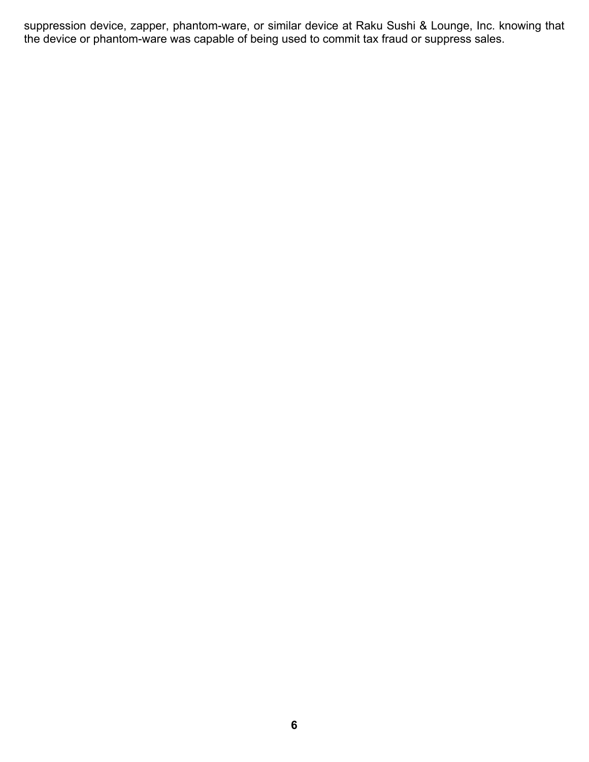suppression device, zapper, phantom-ware, or similar device at Raku Sushi & Lounge, Inc. knowing that the device or phantom-ware was capable of being used to commit tax fraud or suppress sales.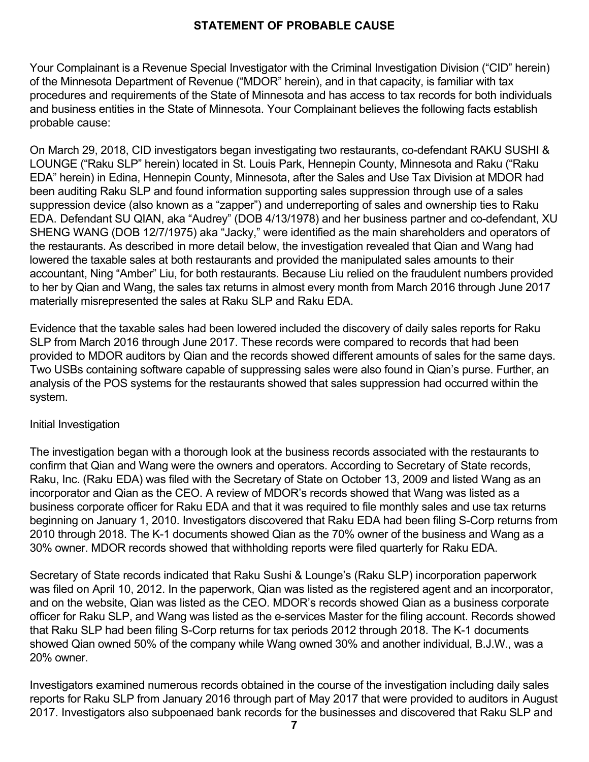### **STATEMENT OF PROBABLE CAUSE**

Your Complainant is a Revenue Special Investigator with the Criminal Investigation Division ("CID" herein) of the Minnesota Department of Revenue ("MDOR" herein), and in that capacity, is familiar with tax procedures and requirements of the State of Minnesota and has access to tax records for both individuals and business entities in the State of Minnesota. Your Complainant believes the following facts establish probable cause:

On March 29, 2018, CID investigators began investigating two restaurants, co-defendant RAKU SUSHI & LOUNGE ("Raku SLP" herein) located in St. Louis Park, Hennepin County, Minnesota and Raku ("Raku EDA" herein) in Edina, Hennepin County, Minnesota, after the Sales and Use Tax Division at MDOR had been auditing Raku SLP and found information supporting sales suppression through use of a sales suppression device (also known as a "zapper") and underreporting of sales and ownership ties to Raku EDA. Defendant SU QIAN, aka "Audrey" (DOB 4/13/1978) and her business partner and co-defendant, XU SHENG WANG (DOB 12/7/1975) aka "Jacky," were identified as the main shareholders and operators of the restaurants. As described in more detail below, the investigation revealed that Qian and Wang had lowered the taxable sales at both restaurants and provided the manipulated sales amounts to their accountant, Ning "Amber" Liu, for both restaurants. Because Liu relied on the fraudulent numbers provided to her by Qian and Wang, the sales tax returns in almost every month from March 2016 through June 2017 materially misrepresented the sales at Raku SLP and Raku EDA.

Evidence that the taxable sales had been lowered included the discovery of daily sales reports for Raku SLP from March 2016 through June 2017. These records were compared to records that had been provided to MDOR auditors by Qian and the records showed different amounts of sales for the same days. Two USBs containing software capable of suppressing sales were also found in Qian's purse. Further, an analysis of the POS systems for the restaurants showed that sales suppression had occurred within the system.

#### Initial Investigation

The investigation began with a thorough look at the business records associated with the restaurants to confirm that Qian and Wang were the owners and operators. According to Secretary of State records, Raku, Inc. (Raku EDA) was filed with the Secretary of State on October 13, 2009 and listed Wang as an incorporator and Qian as the CEO. A review of MDOR's records showed that Wang was listed as a business corporate officer for Raku EDA and that it was required to file monthly sales and use tax returns beginning on January 1, 2010. Investigators discovered that Raku EDA had been filing S-Corp returns from 2010 through 2018. The K-1 documents showed Qian as the 70% owner of the business and Wang as a 30% owner. MDOR records showed that withholding reports were filed quarterly for Raku EDA.

Secretary of State records indicated that Raku Sushi & Lounge's (Raku SLP) incorporation paperwork was filed on April 10, 2012. In the paperwork, Qian was listed as the registered agent and an incorporator, and on the website, Qian was listed as the CEO. MDOR's records showed Qian as a business corporate officer for Raku SLP, and Wang was listed as the e-services Master for the filing account. Records showed that Raku SLP had been filing S-Corp returns for tax periods 2012 through 2018. The K-1 documents showed Qian owned 50% of the company while Wang owned 30% and another individual, B.J.W., was a 20% owner.

Investigators examined numerous records obtained in the course of the investigation including daily sales reports for Raku SLP from January 2016 through part of May 2017 that were provided to auditors in August 2017. Investigators also subpoenaed bank records for the businesses and discovered that Raku SLP and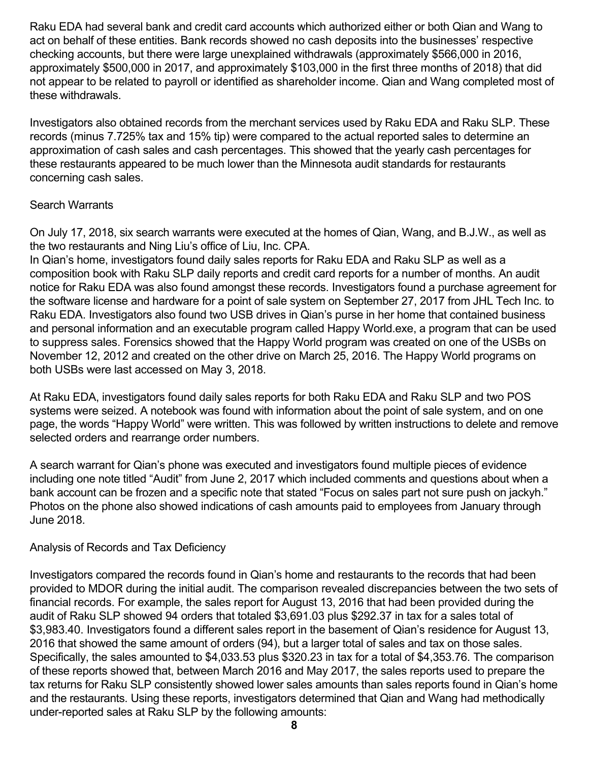Raku EDA had several bank and credit card accounts which authorized either or both Qian and Wang to act on behalf of these entities. Bank records showed no cash deposits into the businesses' respective checking accounts, but there were large unexplained withdrawals (approximately \$566,000 in 2016, approximately \$500,000 in 2017, and approximately \$103,000 in the first three months of 2018) that did not appear to be related to payroll or identified as shareholder income. Qian and Wang completed most of these withdrawals.

Investigators also obtained records from the merchant services used by Raku EDA and Raku SLP. These records (minus 7.725% tax and 15% tip) were compared to the actual reported sales to determine an approximation of cash sales and cash percentages. This showed that the yearly cash percentages for these restaurants appeared to be much lower than the Minnesota audit standards for restaurants concerning cash sales.

#### Search Warrants

On July 17, 2018, six search warrants were executed at the homes of Qian, Wang, and B.J.W., as well as the two restaurants and Ning Liu's office of Liu, Inc. CPA.

In Qian's home, investigators found daily sales reports for Raku EDA and Raku SLP as well as a composition book with Raku SLP daily reports and credit card reports for a number of months. An audit notice for Raku EDA was also found amongst these records. Investigators found a purchase agreement for the software license and hardware for a point of sale system on September 27, 2017 from JHL Tech Inc. to Raku EDA. Investigators also found two USB drives in Qian's purse in her home that contained business and personal information and an executable program called Happy World.exe, a program that can be used to suppress sales. Forensics showed that the Happy World program was created on one of the USBs on November 12, 2012 and created on the other drive on March 25, 2016. The Happy World programs on both USBs were last accessed on May 3, 2018.

At Raku EDA, investigators found daily sales reports for both Raku EDA and Raku SLP and two POS systems were seized. A notebook was found with information about the point of sale system, and on one page, the words "Happy World" were written. This was followed by written instructions to delete and remove selected orders and rearrange order numbers.

A search warrant for Qian's phone was executed and investigators found multiple pieces of evidence including one note titled "Audit" from June 2, 2017 which included comments and questions about when a bank account can be frozen and a specific note that stated "Focus on sales part not sure push on jackyh." Photos on the phone also showed indications of cash amounts paid to employees from January through June 2018.

#### Analysis of Records and Tax Deficiency

Investigators compared the records found in Qian's home and restaurants to the records that had been provided to MDOR during the initial audit. The comparison revealed discrepancies between the two sets of financial records. For example, the sales report for August 13, 2016 that had been provided during the audit of Raku SLP showed 94 orders that totaled \$3,691.03 plus \$292.37 in tax for a sales total of \$3,983.40. Investigators found a different sales report in the basement of Qian's residence for August 13, 2016 that showed the same amount of orders (94), but a larger total of sales and tax on those sales. Specifically, the sales amounted to \$4,033.53 plus \$320.23 in tax for a total of \$4,353.76. The comparison of these reports showed that, between March 2016 and May 2017, the sales reports used to prepare the tax returns for Raku SLP consistently showed lower sales amounts than sales reports found in Qian's home and the restaurants. Using these reports, investigators determined that Qian and Wang had methodically under-reported sales at Raku SLP by the following amounts: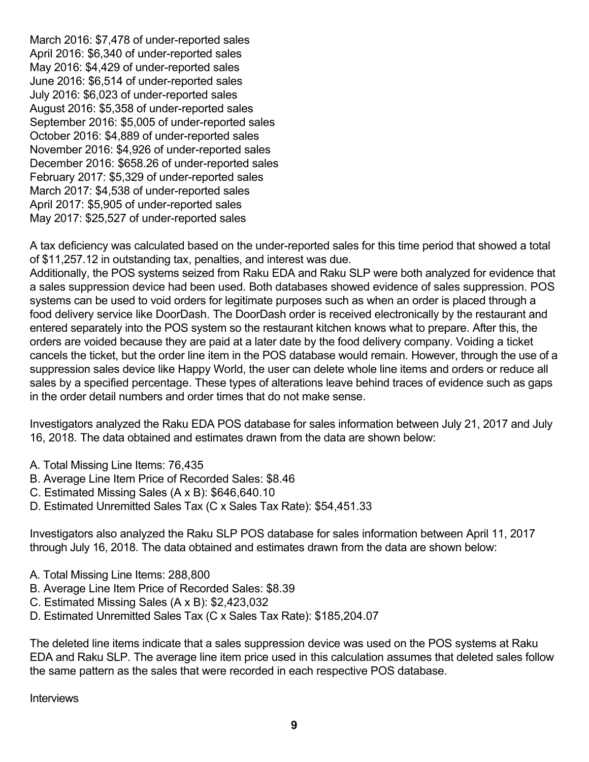March 2016: \$7,478 of under-reported sales April 2016: \$6,340 of under-reported sales May 2016: \$4,429 of under-reported sales June 2016: \$6,514 of under-reported sales July 2016: \$6,023 of under-reported sales August 2016: \$5,358 of under-reported sales September 2016: \$5,005 of under-reported sales October 2016: \$4,889 of under-reported sales November 2016: \$4,926 of under-reported sales December 2016: \$658.26 of under-reported sales February 2017: \$5,329 of under-reported sales March 2017: \$4,538 of under-reported sales April 2017: \$5,905 of under-reported sales May 2017: \$25,527 of under-reported sales

A tax deficiency was calculated based on the under-reported sales for this time period that showed a total of \$11,257.12 in outstanding tax, penalties, and interest was due.

Additionally, the POS systems seized from Raku EDA and Raku SLP were both analyzed for evidence that a sales suppression device had been used. Both databases showed evidence of sales suppression. POS systems can be used to void orders for legitimate purposes such as when an order is placed through a food delivery service like DoorDash. The DoorDash order is received electronically by the restaurant and entered separately into the POS system so the restaurant kitchen knows what to prepare. After this, the orders are voided because they are paid at a later date by the food delivery company. Voiding a ticket cancels the ticket, but the order line item in the POS database would remain. However, through the use of a suppression sales device like Happy World, the user can delete whole line items and orders or reduce all sales by a specified percentage. These types of alterations leave behind traces of evidence such as gaps in the order detail numbers and order times that do not make sense.

Investigators analyzed the Raku EDA POS database for sales information between July 21, 2017 and July 16, 2018. The data obtained and estimates drawn from the data are shown below:

- A. Total Missing Line Items: 76,435
- B. Average Line Item Price of Recorded Sales: \$8.46
- C. Estimated Missing Sales (A x B): \$646,640.10
- D. Estimated Unremitted Sales Tax (C x Sales Tax Rate): \$54,451.33

Investigators also analyzed the Raku SLP POS database for sales information between April 11, 2017 through July 16, 2018. The data obtained and estimates drawn from the data are shown below:

- A. Total Missing Line Items: 288,800
- B. Average Line Item Price of Recorded Sales: \$8.39
- C. Estimated Missing Sales (A x B): \$2,423,032
- D. Estimated Unremitted Sales Tax (C x Sales Tax Rate): \$185,204.07

The deleted line items indicate that a sales suppression device was used on the POS systems at Raku EDA and Raku SLP. The average line item price used in this calculation assumes that deleted sales follow the same pattern as the sales that were recorded in each respective POS database.

**Interviews**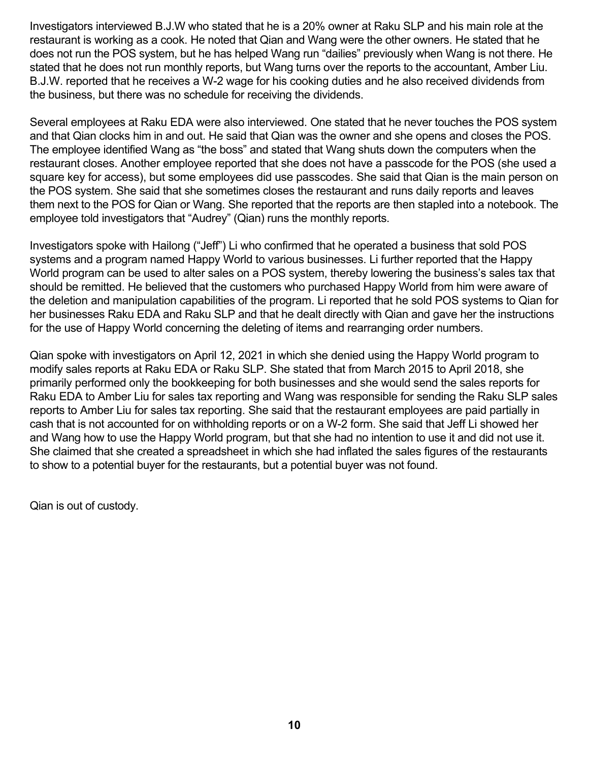Investigators interviewed B.J.W who stated that he is a 20% owner at Raku SLP and his main role at the restaurant is working as a cook. He noted that Qian and Wang were the other owners. He stated that he does not run the POS system, but he has helped Wang run "dailies" previously when Wang is not there. He stated that he does not run monthly reports, but Wang turns over the reports to the accountant, Amber Liu. B.J.W. reported that he receives a W-2 wage for his cooking duties and he also received dividends from the business, but there was no schedule for receiving the dividends.

Several employees at Raku EDA were also interviewed. One stated that he never touches the POS system and that Qian clocks him in and out. He said that Qian was the owner and she opens and closes the POS. The employee identified Wang as "the boss" and stated that Wang shuts down the computers when the restaurant closes. Another employee reported that she does not have a passcode for the POS (she used a square key for access), but some employees did use passcodes. She said that Qian is the main person on the POS system. She said that she sometimes closes the restaurant and runs daily reports and leaves them next to the POS for Qian or Wang. She reported that the reports are then stapled into a notebook. The employee told investigators that "Audrey" (Qian) runs the monthly reports.

Investigators spoke with Hailong ("Jeff") Li who confirmed that he operated a business that sold POS systems and a program named Happy World to various businesses. Li further reported that the Happy World program can be used to alter sales on a POS system, thereby lowering the business's sales tax that should be remitted. He believed that the customers who purchased Happy World from him were aware of the deletion and manipulation capabilities of the program. Li reported that he sold POS systems to Qian for her businesses Raku EDA and Raku SLP and that he dealt directly with Qian and gave her the instructions for the use of Happy World concerning the deleting of items and rearranging order numbers.

Qian spoke with investigators on April 12, 2021 in which she denied using the Happy World program to modify sales reports at Raku EDA or Raku SLP. She stated that from March 2015 to April 2018, she primarily performed only the bookkeeping for both businesses and she would send the sales reports for Raku EDA to Amber Liu for sales tax reporting and Wang was responsible for sending the Raku SLP sales reports to Amber Liu for sales tax reporting. She said that the restaurant employees are paid partially in cash that is not accounted for on withholding reports or on a W-2 form. She said that Jeff Li showed her and Wang how to use the Happy World program, but that she had no intention to use it and did not use it. She claimed that she created a spreadsheet in which she had inflated the sales figures of the restaurants to show to a potential buyer for the restaurants, but a potential buyer was not found.

Qian is out of custody.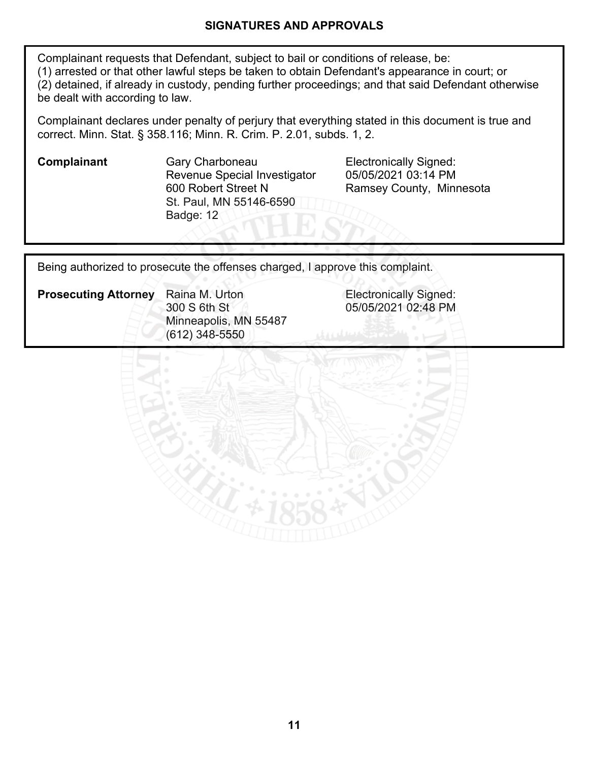#### **SIGNATURES AND APPROVALS**

Complainant requests that Defendant, subject to bail or conditions of release, be: (1) arrested or that other lawful steps be taken to obtain Defendant's appearance in court; or (2) detained, if already in custody, pending further proceedings; and that said Defendant otherwise be dealt with according to law.

Complainant declares under penalty of perjury that everything stated in this document is true and correct. Minn. Stat. § 358.116; Minn. R. Crim. P. 2.01, subds. 1, 2.

**Complainant** Gary Charboneau **Electronically Signed:** Revenue Special Investigator 600 Robert Street N St. Paul, MN 55146-6590 Badge: 12

05/05/2021 03:14 PM Ramsey County, Minnesota

05/05/2021 02:48 PM

Being authorized to prosecute the offenses charged, I approve this complaint.

**Prosecuting Attorney** Raina M. Urton **Electronically Signed:** Raina M. Urton 300 S 6th St Minneapolis, MN 55487 (612) 348-5550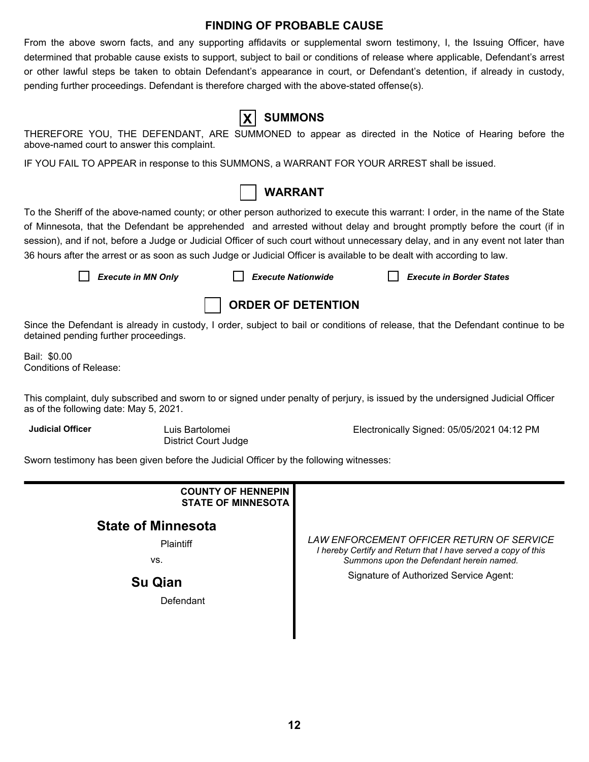#### **FINDING OF PROBABLE CAUSE**

From the above sworn facts, and any supporting affidavits or supplemental sworn testimony, I, the Issuing Officer, have determined that probable cause exists to support, subject to bail or conditions of release where applicable, Defendant's arrest or other lawful steps be taken to obtain Defendant's appearance in court, or Defendant's detention, if already in custody, pending further proceedings. Defendant is therefore charged with the above-stated offense(s).

| IF DEFENIDAN |  |  |
|--------------|--|--|

# **X SUMMONS**

THEREFORE YOU, THE DEFENDANT, ARE SUMMONED to appear as directed in the Notice of Hearing before the above-named court to answer this complaint.

IF YOU FAIL TO APPEAR in response to this SUMMONS, a WARRANT FOR YOUR ARREST shall be issued.



To the Sheriff of the above-named county; or other person authorized to execute this warrant: I order, in the name of the State of Minnesota, that the Defendant be apprehended and arrested without delay and brought promptly before the court (if in session), and if not, before a Judge or Judicial Officer of such court without unnecessary delay, and in any event not later than 36 hours after the arrest or as soon as such Judge or Judicial Officer is available to be dealt with according to law.

*Execute in MN Only Execute Nationwide Execute in Border States*



Since the Defendant is already in custody, I order, subject to bail or conditions of release, that the Defendant continue to be detained pending further proceedings.

Bail: \$0.00 Conditions of Release:

This complaint, duly subscribed and sworn to or signed under penalty of perjury, is issued by the undersigned Judicial Officer as of the following date: May 5, 2021.

**Judicial Officer** Luis Bartolomei

District Court Judge

Electronically Signed: 05/05/2021 04:12 PM

Sworn testimony has been given before the Judicial Officer by the following witnesses:

| <b>COUNTY OF HENNEPIN</b><br><b>STATE OF MINNESOTA</b>          |                                                                                                                                                                                                  |
|-----------------------------------------------------------------|--------------------------------------------------------------------------------------------------------------------------------------------------------------------------------------------------|
| <b>State of Minnesota</b><br>Plaintiff<br>VS.<br><b>Su Qian</b> | LAW ENFORCEMENT OFFICER RETURN OF SERVICE<br>I hereby Certify and Return that I have served a copy of this<br>Summons upon the Defendant herein named.<br>Signature of Authorized Service Agent: |
| Defendant                                                       |                                                                                                                                                                                                  |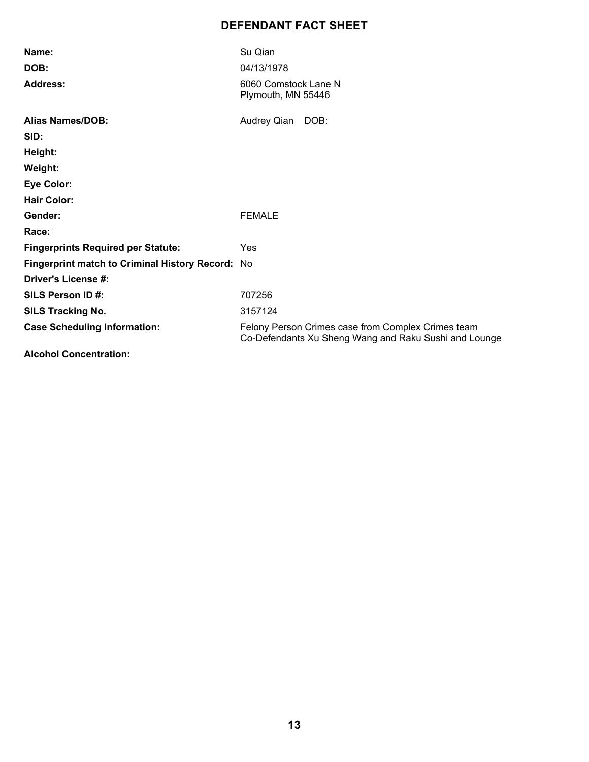# **DEFENDANT FACT SHEET**

| Name:                                            | Su Qian                                                                                                     |
|--------------------------------------------------|-------------------------------------------------------------------------------------------------------------|
| DOB:                                             | 04/13/1978                                                                                                  |
| <b>Address:</b>                                  | 6060 Comstock Lane N<br>Plymouth, MN 55446                                                                  |
| <b>Alias Names/DOB:</b>                          | Audrey Qian<br>DOB:                                                                                         |
| SID:                                             |                                                                                                             |
| Height:                                          |                                                                                                             |
| Weight:                                          |                                                                                                             |
| <b>Eye Color:</b>                                |                                                                                                             |
| <b>Hair Color:</b>                               |                                                                                                             |
| Gender:                                          | <b>FEMALE</b>                                                                                               |
| Race:                                            |                                                                                                             |
| <b>Fingerprints Required per Statute:</b>        | Yes                                                                                                         |
| Fingerprint match to Criminal History Record: No |                                                                                                             |
| Driver's License #:                              |                                                                                                             |
| SILS Person ID#:                                 | 707256                                                                                                      |
| <b>SILS Tracking No.</b>                         | 3157124                                                                                                     |
| <b>Case Scheduling Information:</b>              | Felony Person Crimes case from Complex Crimes team<br>Co-Defendants Xu Sheng Wang and Raku Sushi and Lounge |
| Alsabel Canasatustian.                           |                                                                                                             |

**Alcohol Concentration:**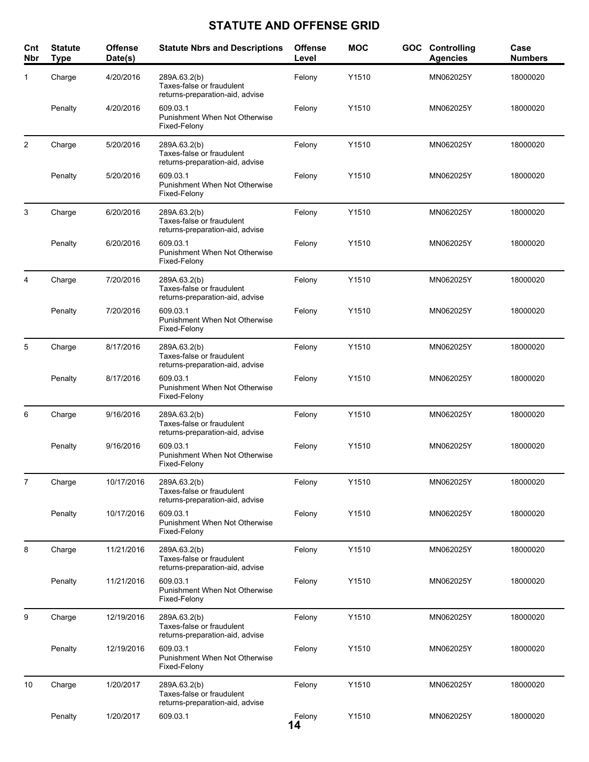# **STATUTE AND OFFENSE GRID**

| Cnt<br><b>Nbr</b> | <b>Statute</b><br><b>Type</b> | <b>Offense</b><br>Date(s) | <b>Statute Nbrs and Descriptions</b>                                         | <b>Offense</b><br>Level | <b>MOC</b> | <b>GOC</b> Controlling<br><b>Agencies</b> | Case<br><b>Numbers</b> |
|-------------------|-------------------------------|---------------------------|------------------------------------------------------------------------------|-------------------------|------------|-------------------------------------------|------------------------|
| 1                 | Charge                        | 4/20/2016                 | 289A.63.2(b)<br>Taxes-false or fraudulent<br>returns-preparation-aid, advise | Felony                  | Y1510      | MN062025Y                                 | 18000020               |
|                   | Penalty                       | 4/20/2016                 | 609.03.1<br>Punishment When Not Otherwise<br>Fixed-Felony                    | Felony                  | Y1510      | MN062025Y                                 | 18000020               |
| 2                 | Charge                        | 5/20/2016                 | 289A.63.2(b)<br>Taxes-false or fraudulent<br>returns-preparation-aid, advise | Felony                  | Y1510      | MN062025Y                                 | 18000020               |
|                   | Penalty                       | 5/20/2016                 | 609.03.1<br><b>Punishment When Not Otherwise</b><br>Fixed-Felony             | Felony                  | Y1510      | MN062025Y                                 | 18000020               |
| 3                 | Charge                        | 6/20/2016                 | 289A.63.2(b)<br>Taxes-false or fraudulent<br>returns-preparation-aid, advise | Felony                  | Y1510      | MN062025Y                                 | 18000020               |
|                   | Penalty                       | 6/20/2016                 | 609.03.1<br>Punishment When Not Otherwise<br>Fixed-Felony                    | Felony                  | Y1510      | MN062025Y                                 | 18000020               |
| 4                 | Charge                        | 7/20/2016                 | 289A.63.2(b)<br>Taxes-false or fraudulent<br>returns-preparation-aid, advise | Felony                  | Y1510      | MN062025Y                                 | 18000020               |
|                   | Penalty                       | 7/20/2016                 | 609.03.1<br>Punishment When Not Otherwise<br>Fixed-Felony                    | Felony                  | Y1510      | MN062025Y                                 | 18000020               |
| 5                 | Charge                        | 8/17/2016                 | 289A.63.2(b)<br>Taxes-false or fraudulent<br>returns-preparation-aid, advise | Felony                  | Y1510      | MN062025Y                                 | 18000020               |
|                   | Penalty                       | 8/17/2016                 | 609.03.1<br>Punishment When Not Otherwise<br>Fixed-Felony                    | Felony                  | Y1510      | MN062025Y                                 | 18000020               |
| 6                 | Charge                        | 9/16/2016                 | 289A.63.2(b)<br>Taxes-false or fraudulent<br>returns-preparation-aid, advise | Felony                  | Y1510      | MN062025Y                                 | 18000020               |
|                   | Penalty                       | 9/16/2016                 | 609.03.1<br>Punishment When Not Otherwise<br>Fixed-Felony                    | Felony                  | Y1510      | MN062025Y                                 | 18000020               |
| 7                 | Charge                        | 10/17/2016                | 289A.63.2(b)<br>Taxes-false or fraudulent<br>returns-preparation-aid, advise | Felony                  | Y1510      | MN062025Y                                 | 18000020               |
|                   | Penalty                       | 10/17/2016                | 609.03.1<br><b>Punishment When Not Otherwise</b><br>Fixed-Felony             | Felony                  | Y1510      | MN062025Y                                 | 18000020               |
| 8                 | Charge                        | 11/21/2016                | 289A.63.2(b)<br>Taxes-false or fraudulent<br>returns-preparation-aid, advise | Felony                  | Y1510      | MN062025Y                                 | 18000020               |
|                   | Penalty                       | 11/21/2016                | 609.03.1<br><b>Punishment When Not Otherwise</b><br>Fixed-Felony             | Felony                  | Y1510      | MN062025Y                                 | 18000020               |
| 9                 | Charge                        | 12/19/2016                | 289A.63.2(b)<br>Taxes-false or fraudulent<br>returns-preparation-aid, advise | Felony                  | Y1510      | MN062025Y                                 | 18000020               |
|                   | Penalty                       | 12/19/2016                | 609.03.1<br>Punishment When Not Otherwise<br>Fixed-Felony                    | Felony                  | Y1510      | MN062025Y                                 | 18000020               |
| 10                | Charge                        | 1/20/2017                 | 289A.63.2(b)<br>Taxes-false or fraudulent<br>returns-preparation-aid, advise | Felony                  | Y1510      | MN062025Y                                 | 18000020               |
|                   | Penalty                       | 1/20/2017                 | 609.03.1                                                                     | Felony<br>14            | Y1510      | MN062025Y                                 | 18000020               |